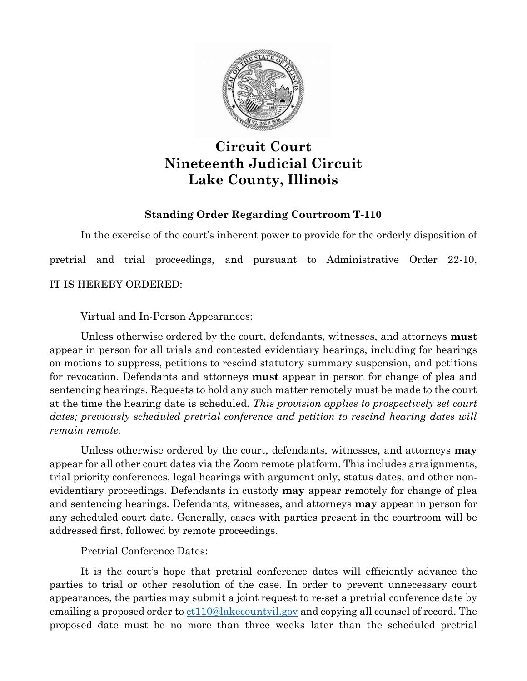

# **Circuit Court Nineteenth Judicial Circuit Lake County, Illinois**

# **Standing Order Regarding Courtroom T-110**

In the exercise of the court's inherent power to provide for the orderly disposition of pretrial and trial proceedings, and pursuant to Administrative Order 22-10, IT IS HEREBY ORDERED:

## Virtual and In-Person Appearances:

Unless otherwise ordered by the court, defendants, witnesses, and attorneys **must** appear in person for all trials and contested evidentiary hearings, including for hearings on motions to suppress, petitions to rescind statutory summary suspension, and petitions for revocation. Defendants and attorneys **must** appear in person for change of plea and sentencing hearings. Requests to hold any such matter remotely must be made to the court at the time the hearing date is scheduled. *This provision applies to prospectively set court*  dates; previously scheduled pretrial conference and petition to rescind hearing dates will *remain remote.*

Unless otherwise ordered by the court, defendants, witnesses, and attorneys **may** appear for all other court dates via the Zoom remote platform. This includes arraignments, trial priority conferences, legal hearings with argument only, status dates, and other nonevidentiary proceedings. Defendants in custody **may** appear remotely for change of plea and sentencing hearings. Defendants, witnesses, and attorneys **may** appear in person for any scheduled court date. Generally, cases with parties present in the courtroom will be addressed first, followed by remote proceedings.

## Pretrial Conference Dates:

It is the court's hope that pretrial conference dates will efficiently advance the parties to trial or other resolution of the case. In order to prevent unnecessary court appearances, the parties may submit a joint request to re-set a pretrial conference date by emailing a proposed order to [ct110@lakecountyil.gov](mailto:ct110@lakecountyil.gov) and copying all counsel of record. The proposed date must be no more than three weeks later than the scheduled pretrial